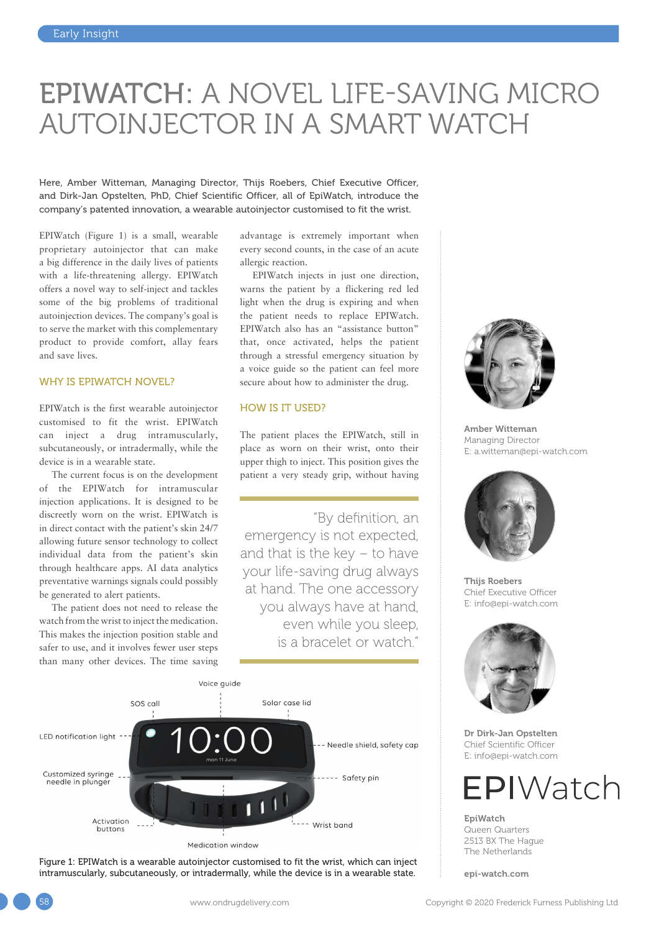## EPIWATCH: A NOVEL LIFE-SAVING MICRO AUTOINJECTOR IN A SMART WATCH

Here, Amber Witteman, Managing Director, Thijs Roebers, Chief Executive Officer, and Dirk-Jan Opstelten, PhD, Chief Scientific Officer, all of EpiWatch, introduce the company's patented innovation, a wearable autoinjector customised to fit the wrist.

EPIWatch (Figure 1) is a small, wearable proprietary autoinjector that can make a big difference in the daily lives of patients with a life-threatening allergy. EPIWatch offers a novel way to self-inject and tackles some of the big problems of traditional autoinjection devices. The company's goal is to serve the market with this complementary product to provide comfort, allay fears and save lives.

#### WHY IS EPIWATCH NOVEL?

EPIWatch is the first wearable autoinjector customised to fit the wrist. EPIWatch can inject a drug intramuscularly, subcutaneously, or intradermally, while the device is in a wearable state.

The current focus is on the development of the EPIWatch for intramuscular injection applications. It is designed to be discreetly worn on the wrist. EPIWatch is in direct contact with the patient's skin 24/7 allowing future sensor technology to collect individual data from the patient's skin through healthcare apps. AI data analytics preventative warnings signals could possibly be generated to alert patients.

The patient does not need to release the watch from the wrist to inject the medication. This makes the injection position stable and safer to use, and it involves fewer user steps than many other devices. The time saving advantage is extremely important when every second counts, in the case of an acute allergic reaction.

EPIWatch injects in just one direction, warns the patient by a flickering red led light when the drug is expiring and when the patient needs to replace EPIWatch. EPIWatch also has an "assistance button" that, once activated, helps the patient through a stressful emergency situation by a voice guide so the patient can feel more secure about how to administer the drug.

### HOW IS IT USED?

The patient places the EPIWatch, still in place as worn on their wrist, onto their upper thigh to inject. This position gives the patient a very steady grip, without having

"By definition, an emergency is not expected, and that is the key – to have your life-saving drug always at hand. The one accessory you always have at hand, even while you sleep, is a bracelet or watch."



Figure 1: EPIWatch is a wearable autoinjector customised to fit the wrist, which can inject intramuscularly, subcutaneously, or intradermally, while the device is in a wearable state.



Amber Witteman Managing Director E: [a.witteman@epi-watch.com](mailto:a.witteman@epi-watch.com)



Thijs Roebers Chief Executive Officer E: [info@epi-watch.com](mailto:info@epi-watch.com)



Dr Dirk-Jan Opstelten Chief Scientific Officer E: [info@epi-watch.com](mailto:info@epi-watch.com)

# EPIWatch

EpiWatch Queen Quarters 2513 BX The Hague The Netherlands

[epi-watch.com](https://epi-watch.com)